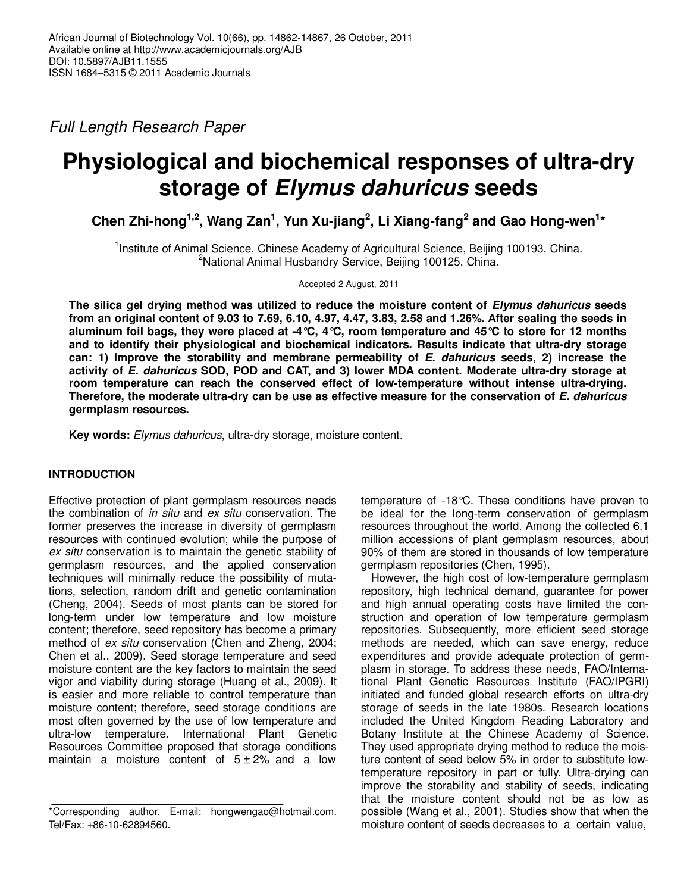Full Length Research Paper

# **Physiological and biochemical responses of ultra-dry storage of Elymus dahuricus seeds**

**Chen Zhi-hong1,2, Wang Zan<sup>1</sup> , Yun Xu-jiang<sup>2</sup> , Li Xiang-fang<sup>2</sup> and Gao Hong-wen<sup>1</sup> \*** 

<sup>1</sup>Institute of Animal Science, Chinese Academy of Agricultural Science, Beijing 100193, China. <sup>2</sup>National Animal Husbandry Service, Beijing 100125, China.

Accepted 2 August, 2011

**The silica gel drying method was utilized to reduce the moisture content of Elymus dahuricus seeds from an original content of 9.03 to 7.69, 6.10, 4.97, 4.47, 3.83, 2.58 and 1.26%. After sealing the seeds in aluminum foil bags, they were placed at -4°C, 4°C, room temperature and 45°C to store for 12 months and to identify their physiological and biochemical indicators. Results indicate that ultra-dry storage can: 1) Improve the storability and membrane permeability of E. dahuricus seeds, 2) increase the activity of E. dahuricus SOD, POD and CAT, and 3) lower MDA content. Moderate ultra-dry storage at room temperature can reach the conserved effect of low-temperature without intense ultra-drying. Therefore, the moderate ultra-dry can be use as effective measure for the conservation of E. dahuricus germplasm resources.** 

**Key words:** Elymus dahuricus, ultra-dry storage, moisture content.

# **INTRODUCTION**

Effective protection of plant germplasm resources needs the combination of in situ and ex situ conservation. The former preserves the increase in diversity of germplasm resources with continued evolution; while the purpose of ex situ conservation is to maintain the genetic stability of germplasm resources, and the applied conservation techniques will minimally reduce the possibility of mutations, selection, random drift and genetic contamination (Cheng, 2004). Seeds of most plants can be stored for long-term under low temperature and low moisture content; therefore, seed repository has become a primary method of ex situ conservation (Chen and Zheng, 2004; Chen et al., 2009). Seed storage temperature and seed moisture content are the key factors to maintain the seed vigor and viability during storage (Huang et al., 2009). It is easier and more reliable to control temperature than moisture content; therefore, seed storage conditions are most often governed by the use of low temperature and ultra-low temperature. International Plant Genetic Resources Committee proposed that storage conditions maintain a moisture content of  $5 \pm 2\%$  and a low

temperature of -18°C. These conditions have proven to be ideal for the long-term conservation of germplasm resources throughout the world. Among the collected 6.1 million accessions of plant germplasm resources, about 90% of them are stored in thousands of low temperature germplasm repositories (Chen, 1995).

However, the high cost of low-temperature germplasm repository, high technical demand, guarantee for power and high annual operating costs have limited the construction and operation of low temperature germplasm repositories. Subsequently, more efficient seed storage methods are needed, which can save energy, reduce expenditures and provide adequate protection of germplasm in storage. To address these needs, FAO/International Plant Genetic Resources Institute (FAO/IPGRI) initiated and funded global research efforts on ultra-dry storage of seeds in the late 1980s. Research locations included the United Kingdom Reading Laboratory and Botany Institute at the Chinese Academy of Science. They used appropriate drying method to reduce the moisture content of seed below 5% in order to substitute lowtemperature repository in part or fully. Ultra-drying can improve the storability and stability of seeds, indicating that the moisture content should not be as low as possible (Wang et al., 2001). Studies show that when the moisture content of seeds decreases to a certain value,

<sup>\*</sup>Corresponding author. E-mail: hongwengao@hotmail.com. Tel/Fax: +86-10-62894560.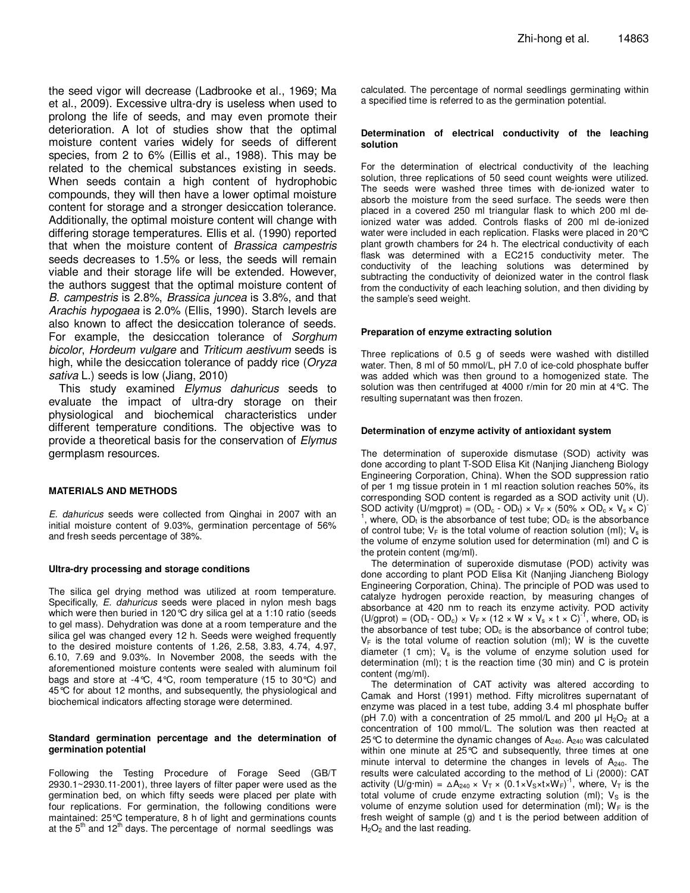the seed vigor will decrease (Ladbrooke et al., 1969; Ma et al., 2009). Excessive ultra-dry is useless when used to prolong the life of seeds, and may even promote their deterioration. A lot of studies show that the optimal moisture content varies widely for seeds of different species, from 2 to 6% (Eillis et al., 1988). This may be related to the chemical substances existing in seeds. When seeds contain a high content of hydrophobic compounds, they will then have a lower optimal moisture content for storage and a stronger desiccation tolerance. Additionally, the optimal moisture content will change with differing storage temperatures. Ellis et al. (1990) reported that when the moisture content of Brassica campestris seeds decreases to 1.5% or less, the seeds will remain viable and their storage life will be extended. However, the authors suggest that the optimal moisture content of B. campestris is 2.8%, Brassica juncea is 3.8%, and that Arachis hypogaea is 2.0% (Ellis, 1990). Starch levels are also known to affect the desiccation tolerance of seeds. For example, the desiccation tolerance of Sorghum bicolor, Hordeum vulgare and Triticum aestivum seeds is high, while the desiccation tolerance of paddy rice (Oryza sativa L.) seeds is low (Jiang, 2010)

This study examined Elymus dahuricus seeds to evaluate the impact of ultra-dry storage on their physiological and biochemical characteristics under different temperature conditions. The objective was to provide a theoretical basis for the conservation of Elymus germplasm resources.

## **MATERIALS AND METHODS**

E. dahuricus seeds were collected from Qinghai in 2007 with an initial moisture content of 9.03%, germination percentage of 56% and fresh seeds percentage of 38%.

## **Ultra-dry processing and storage conditions**

The silica gel drying method was utilized at room temperature. Specifically, E. dahuricus seeds were placed in nylon mesh bags which were then buried in 120 °C dry silica gel at a 1:10 ratio (seeds to gel mass). Dehydration was done at a room temperature and the silica gel was changed every 12 h. Seeds were weighed frequently to the desired moisture contents of 1.26, 2.58, 3.83, 4.74, 4.97, 6.10, 7.69 and 9.03%. In November 2008, the seeds with the aforementioned moisture contents were sealed with aluminum foil bags and store at -4°C, 4°C, room temperature (15 to 30°C) and 45°C for about 12 months, and subsequently, the physiological and biochemical indicators affecting storage were determined.

## **Standard germination percentage and the determination of germination potential**

Following the Testing Procedure of Forage Seed (GB/T 2930.1~2930.11-2001), three layers of filter paper were used as the germination bed, on which fifty seeds were placed per plate with four replications. For germination, the following conditions were maintained: 25°C temperature, 8 h of light and germinations counts at the  $5<sup>th</sup>$  and 12<sup>th</sup> days. The percentage of normal seedlings was

calculated. The percentage of normal seedlings germinating within a specified time is referred to as the germination potential.

#### **Determination of electrical conductivity of the leaching solution**

For the determination of electrical conductivity of the leaching solution, three replications of 50 seed count weights were utilized. The seeds were washed three times with de-ionized water to absorb the moisture from the seed surface. The seeds were then placed in a covered 250 ml triangular flask to which 200 ml deionized water was added. Controls flasks of 200 ml de-ionized water were included in each replication. Flasks were placed in 20°C plant growth chambers for 24 h. The electrical conductivity of each flask was determined with a EC215 conductivity meter. The conductivity of the leaching solutions was determined by subtracting the conductivity of deionized water in the control flask from the conductivity of each leaching solution, and then dividing by the sample's seed weight.

## **Preparation of enzyme extracting solution**

Three replications of 0.5 g of seeds were washed with distilled water. Then, 8 ml of 50 mmol/L, pH 7.0 of ice-cold phosphate buffer was added which was then ground to a homogenized state. The solution was then centrifuged at 4000 r/min for 20 min at 4°C. The resulting supernatant was then frozen.

## **Determination of enzyme activity of antioxidant system**

The determination of superoxide dismutase (SOD) activity was done according to plant T-SOD Elisa Kit (Nanjing Jiancheng Biology Engineering Corporation, China). When the SOD suppression ratio of per 1 mg tissue protein in 1 ml reaction solution reaches 50%, its corresponding SOD content is regarded as a SOD activity unit (U). SOD activity (U/mgprot) =  $(OD_c - OD_t) \times V_F \times (50\% \times OD_c \times V_s \times C)^{-1}$ 1 , where,  $OD<sub>t</sub>$  is the absorbance of test tube;  $OD<sub>c</sub>$  is the absorbance of control tube;  $V_F$  is the total volume of reaction solution (ml);  $V_s$  is the volume of enzyme solution used for determination (ml) and C is the protein content (mg/ml).

The determination of superoxide dismutase (POD) activity was done according to plant POD Elisa Kit (Nanjing Jiancheng Biology Engineering Corporation, China). The principle of POD was used to catalyze hydrogen peroxide reaction, by measuring changes of absorbance at 420 nm to reach its enzyme activity. POD activity (U/gprot) =  $(OD_t - OD_c) \times V_F \times (12 \times W \times V_s \times t \times C)^{-1}$ , where,  $OD_t$  is the absorbance of test tube;  $OD<sub>c</sub>$  is the absorbance of control tube;  $V_F$  is the total volume of reaction solution (ml); W is the cuvette diameter (1 cm);  $V_s$  is the volume of enzyme solution used for determination (ml); t is the reaction time (30 min) and C is protein content (mg/ml).

The determination of CAT activity was altered according to Camak and Horst (1991) method. Fifty microlitres supernatant of enzyme was placed in a test tube, adding 3.4 ml phosphate buffer (pH 7.0) with a concentration of 25 mmol/L and 200  $\mu$ I H<sub>2</sub>O<sub>2</sub> at a concentration of 100 mmol/L. The solution was then reacted at 25 °C to determine the dynamic changes of  $A_{240}$ .  $A_{240}$  was calculated within one minute at 25°C and subsequently, three times at one minute interval to determine the changes in levels of  $A_{240}$ . The results were calculated according to the method of Li (2000): CAT activity (U/g·min) =  $\Delta A_{240} \times V_T \times (0.1 \times V_S \times t \times W_F)^{-1}$ , where,  $V_T$  is the total volume of crude enzyme extracting solution (ml);  $V_s$  is the volume of enzyme solution used for determination (ml);  $W_F$  is the fresh weight of sample (g) and t is the period between addition of  $H<sub>2</sub>O<sub>2</sub>$  and the last reading.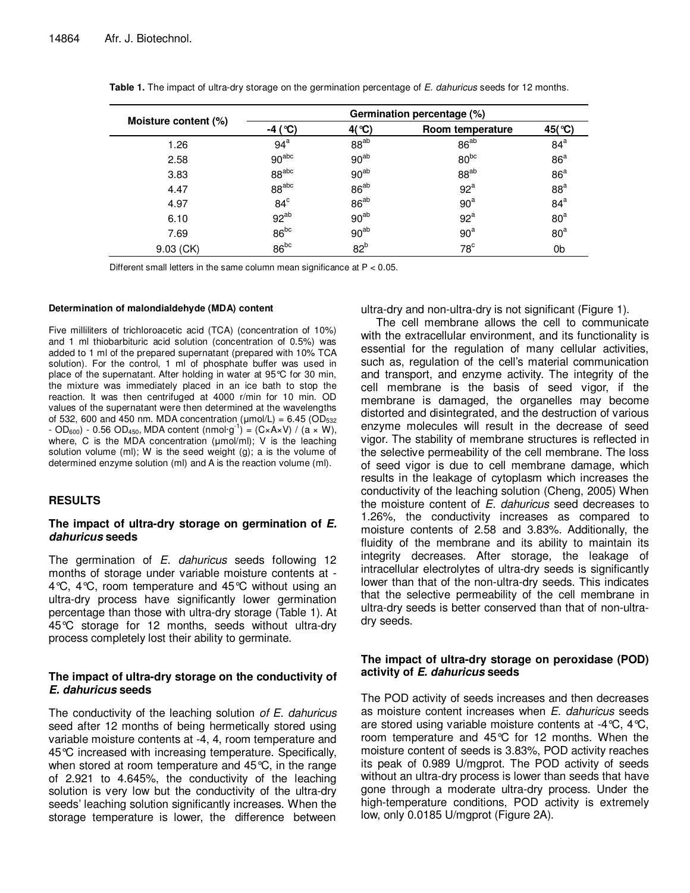| Moisture content (%) | Germination percentage (%) |                  |                  |                 |
|----------------------|----------------------------|------------------|------------------|-----------------|
|                      | -4 ( $^{\circ}$ C)         | $4$ (°C)         | Room temperature | 45(°C)          |
| 1.26                 | 94 <sup>a</sup>            | $88^{ab}$        | $86^{ab}$        | 84 <sup>a</sup> |
| 2.58                 | 90 <sup>abc</sup>          | $90^{ab}$        | $80^{bc}$        | 86 <sup>a</sup> |
| 3.83                 | 88 <sup>abc</sup>          | 90 <sup>ab</sup> | $88^{ab}$        | 86 <sup>a</sup> |
| 4.47                 | 88 <sup>abc</sup>          | $86^{ab}$        | 92 <sup>a</sup>  | 88 <sup>a</sup> |
| 4.97                 | $84^\circ$                 | $86^{ab}$        | 90 <sup>a</sup>  | 84 <sup>a</sup> |
| 6.10                 | $92^{ab}$                  | 90 <sup>ab</sup> | 92 <sup>a</sup>  | 80 <sup>a</sup> |
| 7.69                 | $86^{bc}$                  | $90^{ab}$        | 90 <sup>a</sup>  | 80 <sup>a</sup> |
| $9.03$ (CK)          | $86^{bc}$                  | 82 <sup>b</sup>  | $78^{\circ}$     | 0b              |

Different small letters in the same column mean significance at P < 0.05.

## **Determination of malondialdehyde (MDA) content**

Five milliliters of trichloroacetic acid (TCA) (concentration of 10%) and 1 ml thiobarbituric acid solution (concentration of 0.5%) was added to 1 ml of the prepared supernatant (prepared with 10% TCA solution). For the control, 1 ml of phosphate buffer was used in place of the supernatant. After holding in water at 95°C for 30 min, the mixture was immediately placed in an ice bath to stop the reaction. It was then centrifuged at 4000 r/min for 10 min. OD values of the supernatant were then determined at the wavelengths of 532, 600 and 450 nm. MDA concentration ( $\mu$ mol/L) = 6.45 (OD<sub>532</sub>  $-$  OD<sub>600</sub>) - 0.56 OD<sub>450</sub>, MDA content (nmol·g<sup>-1</sup>) = (C×A×V) / (a × W), where, C is the MDA concentration (umol/ml); V is the leaching solution volume (ml); W is the seed weight (g); a is the volume of determined enzyme solution (ml) and A is the reaction volume (ml).

## **RESULTS**

## **The impact of ultra-dry storage on germination of E. dahuricus seeds**

The germination of E. dahuricus seeds following 12 months of storage under variable moisture contents at - 4°C, 4°C, room temperature and 45°C without using an ultra-dry process have significantly lower germination percentage than those with ultra-dry storage (Table 1). At 45°C storage for 12 months, seeds without ultra-dry process completely lost their ability to germinate.

## **The impact of ultra-dry storage on the conductivity of E. dahuricus seeds**

The conductivity of the leaching solution of E. dahuricus seed after 12 months of being hermetically stored using variable moisture contents at -4, 4, room temperature and 45°C increased with increasing temperature. Specifically, when stored at room temperature and 45°C, in the range of 2.921 to 4.645%, the conductivity of the leaching solution is very low but the conductivity of the ultra-dry seeds' leaching solution significantly increases. When the storage temperature is lower, the difference between ultra-dry and non-ultra-dry is not significant (Figure 1).

The cell membrane allows the cell to communicate with the extracellular environment, and its functionality is essential for the regulation of many cellular activities, such as, regulation of the cell's material communication and transport, and enzyme activity. The integrity of the cell membrane is the basis of seed vigor, if the membrane is damaged, the organelles may become distorted and disintegrated, and the destruction of various enzyme molecules will result in the decrease of seed vigor. The stability of membrane structures is reflected in the selective permeability of the cell membrane. The loss of seed vigor is due to cell membrane damage, which results in the leakage of cytoplasm which increases the conductivity of the leaching solution (Cheng, 2005) When the moisture content of  $E$ . dahuricus seed decreases to 1.26%, the conductivity increases as compared to moisture contents of 2.58 and 3.83%. Additionally, the fluidity of the membrane and its ability to maintain its integrity decreases. After storage, the leakage of intracellular electrolytes of ultra-dry seeds is significantly lower than that of the non-ultra-dry seeds. This indicates that the selective permeability of the cell membrane in ultra-dry seeds is better conserved than that of non-ultradry seeds.

# **The impact of ultra-dry storage on peroxidase (POD) activity of E. dahuricus seeds**

The POD activity of seeds increases and then decreases as moisture content increases when E. dahuricus seeds are stored using variable moisture contents at -4°C, 4°C, room temperature and 45°C for 12 months. When the moisture content of seeds is 3.83%, POD activity reaches its peak of 0.989 U/mgprot. The POD activity of seeds without an ultra-dry process is lower than seeds that have gone through a moderate ultra-dry process. Under the high-temperature conditions, POD activity is extremely low, only 0.0185 U/mgprot (Figure 2A).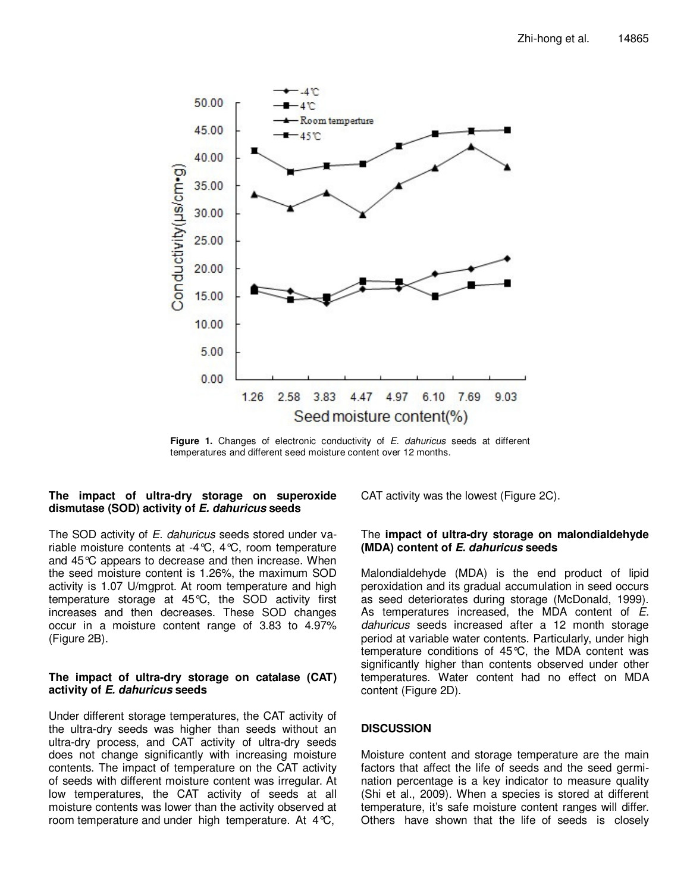

Figure 1. Changes of electronic conductivity of E. dahuricus seeds at different temperatures and different seed moisture content over 12 months.

# **The impact of ultra-dry storage on superoxide dismutase (SOD) activity of E. dahuricus seeds**

The SOD activity of E. dahuricus seeds stored under variable moisture contents at -4°C, 4°C, room temperature and 45°C appears to decrease and then increase. When the seed moisture content is 1.26%, the maximum SOD activity is 1.07 U/mgprot. At room temperature and high temperature storage at 45°C, the SOD activity first increases and then decreases. These SOD changes occur in a moisture content range of 3.83 to 4.97% (Figure 2B).

# **The impact of ultra-dry storage on catalase (CAT) activity of E. dahuricus seeds**

Under different storage temperatures, the CAT activity of the ultra-dry seeds was higher than seeds without an ultra-dry process, and CAT activity of ultra-dry seeds does not change significantly with increasing moisture contents. The impact of temperature on the CAT activity of seeds with different moisture content was irregular. At low temperatures, the CAT activity of seeds at all moisture contents was lower than the activity observed at room temperature and under high temperature. At 4°C,

CAT activity was the lowest (Figure 2C).

# The **impact of ultra-dry storage on malondialdehyde (MDA) content of E. dahuricus seeds**

Malondialdehyde (MDA) is the end product of lipid peroxidation and its gradual accumulation in seed occurs as seed deteriorates during storage (McDonald, 1999). As temperatures increased, the MDA content of E. dahuricus seeds increased after a 12 month storage period at variable water contents. Particularly, under high temperature conditions of 45°C, the MDA content was significantly higher than contents observed under other temperatures. Water content had no effect on MDA content (Figure 2D).

# **DISCUSSION**

Moisture content and storage temperature are the main factors that affect the life of seeds and the seed germination percentage is a key indicator to measure quality (Shi et al., 2009). When a species is stored at different temperature, it's safe moisture content ranges will differ. Others have shown that the life of seeds is closely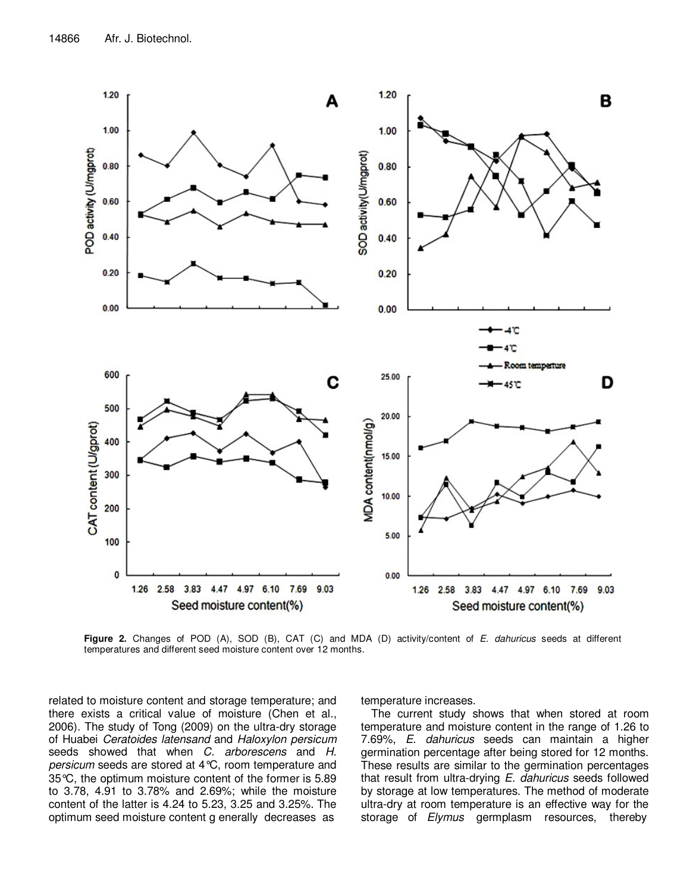

Figure 2. Changes of POD (A), SOD (B), CAT (C) and MDA (D) activity/content of E. dahuricus seeds at different temperatures and different seed moisture content over 12 months.

related to moisture content and storage temperature; and there exists a critical value of moisture (Chen et al., 2006). The study of Tong (2009) on the ultra-dry storage of Huabei Ceratoides latensand and Haloxylon persicum seeds showed that when C. arborescens and H. persicum seeds are stored at 4°C, room temperature and 35°C, the optimum moisture content of the former is 5.89 to 3.78, 4.91 to 3.78% and 2.69%; while the moisture content of the latter is 4.24 to 5.23, 3.25 and 3.25%. The optimum seed moisture content g enerally decreases as

temperature increases.

The current study shows that when stored at room temperature and moisture content in the range of 1.26 to 7.69%, E. dahuricus seeds can maintain a higher germination percentage after being stored for 12 months. These results are similar to the germination percentages that result from ultra-drying E. dahuricus seeds followed by storage at low temperatures. The method of moderate ultra-dry at room temperature is an effective way for the storage of Elymus germplasm resources, thereby